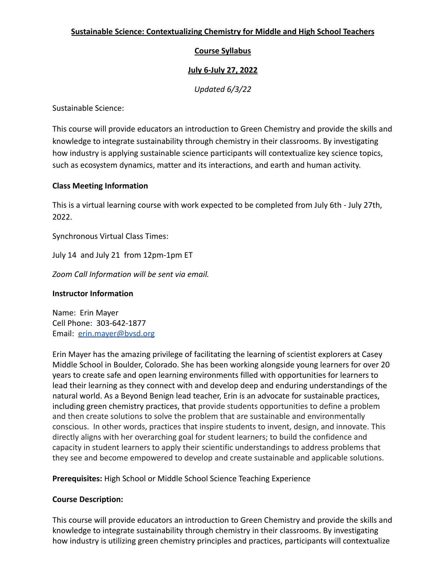# **Sustainable Science: Contextualizing Chemistry for Middle and High School Teachers**

# **Course Syllabus**

# **July 6-July 27, 2022**

*Updated 6/3/22*

Sustainable Science:

This course will provide educators an introduction to Green Chemistry and provide the skills and knowledge to integrate sustainability through chemistry in their classrooms. By investigating how industry is applying sustainable science participants will contextualize key science topics, such as ecosystem dynamics, matter and its interactions, and earth and human activity.

# **Class Meeting Information**

This is a virtual learning course with work expected to be completed from July 6th - July 27th, 2022.

Synchronous Virtual Class Times:

July 14 and July 21 from 12pm-1pm ET

*Zoom Call Information will be sent via email.*

#### **Instructor Information**

Name: Erin Mayer Cell Phone: 303-642-1877 Email: [erin.mayer@bvsd.org](mailto:erin.mayer@bvsd.org)

Erin Mayer has the amazing privilege of facilitating the learning of scientist explorers at Casey Middle School in Boulder, Colorado. She has been working alongside young learners for over 20 years to create safe and open learning environments filled with opportunities for learners to lead their learning as they connect with and develop deep and enduring understandings of the natural world. As a Beyond Benign lead teacher, Erin is an advocate for sustainable practices, including green chemistry practices, that provide students opportunities to define a problem and then create solutions to solve the problem that are sustainable and environmentally conscious. In other words, practices that inspire students to invent, design, and innovate. This directly aligns with her overarching goal for student learners; to build the confidence and capacity in student learners to apply their scientific understandings to address problems that they see and become empowered to develop and create sustainable and applicable solutions.

**Prerequisites:** High School or Middle School Science Teaching Experience

# **Course Description:**

This course will provide educators an introduction to Green Chemistry and provide the skills and knowledge to integrate sustainability through chemistry in their classrooms. By investigating how industry is utilizing green chemistry principles and practices, participants will contextualize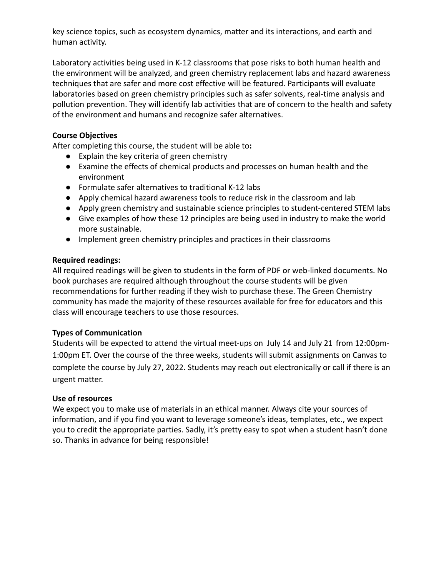key science topics, such as ecosystem dynamics, matter and its interactions, and earth and human activity.

Laboratory activities being used in K-12 classrooms that pose risks to both human health and the environment will be analyzed, and green chemistry replacement labs and hazard awareness techniques that are safer and more cost effective will be featured. Participants will evaluate laboratories based on green chemistry principles such as safer solvents, real-time analysis and pollution prevention. They will identify lab activities that are of concern to the health and safety of the environment and humans and recognize safer alternatives.

### **Course Objectives**

After completing this course, the student will be able to**:**

- Explain the key criteria of green chemistry
- Examine the effects of chemical products and processes on human health and the environment
- Formulate safer alternatives to traditional K-12 labs
- Apply chemical hazard awareness tools to reduce risk in the classroom and lab
- Apply green chemistry and sustainable science principles to student-centered STEM labs
- Give examples of how these 12 principles are being used in industry to make the world more sustainable.
- Implement green chemistry principles and practices in their classrooms

#### **Required readings:**

All required readings will be given to students in the form of PDF or web-linked documents. No book purchases are required although throughout the course students will be given recommendations for further reading if they wish to purchase these. The Green Chemistry community has made the majority of these resources available for free for educators and this class will encourage teachers to use those resources.

#### **Types of Communication**

Students will be expected to attend the virtual meet-ups on July 14 and July 21 from 12:00pm-1:00pm ET. Over the course of the three weeks, students will submit assignments on Canvas to complete the course by July 27, 2022. Students may reach out electronically or call if there is an urgent matter.

#### **Use of resources**

We expect you to make use of materials in an ethical manner. Always cite your sources of information, and if you find you want to leverage someone's ideas, templates, etc., we expect you to credit the appropriate parties. Sadly, it's pretty easy to spot when a student hasn't done so. Thanks in advance for being responsible!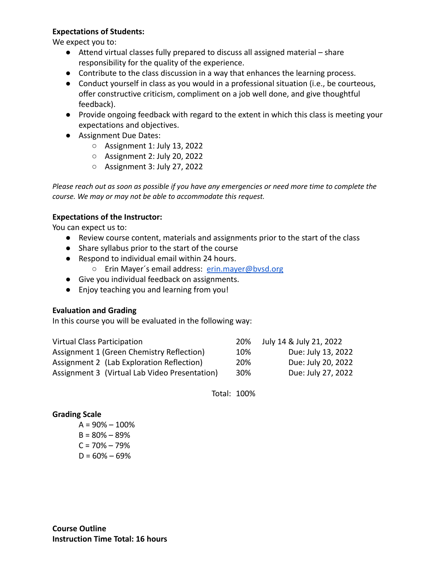### **Expectations of Students:**

We expect you to:

- Attend virtual classes fully prepared to discuss all assigned material share responsibility for the quality of the experience.
- Contribute to the class discussion in a way that enhances the learning process.
- Conduct yourself in class as you would in a professional situation (i.e., be courteous, offer constructive criticism, compliment on a job well done, and give thoughtful feedback).
- Provide ongoing feedback with regard to the extent in which this class is meeting your expectations and objectives.
- Assignment Due Dates:
	- Assignment 1: July 13, 2022
	- Assignment 2: July 20, 2022
	- Assignment 3: July 27, 2022

Please reach out as soon as possible if you have any emergencies or need more time to complete the *course. We may or may not be able to accommodate this request.*

#### **Expectations of the Instructor:**

You can expect us to:

- Review course content, materials and assignments prior to the start of the class
- Share syllabus prior to the start of the course
- Respond to individual email within 24 hours.
	- Erin Mayer´s email address: [erin.mayer@bvsd.org](mailto:erin.mayer@bvsd.org)
- Give you individual feedback on assignments.
- Enjoy teaching you and learning from you!

#### **Evaluation and Grading**

In this course you will be evaluated in the following way:

| <b>Virtual Class Participation</b>            |     | July 14 & July 21, 2022 |
|-----------------------------------------------|-----|-------------------------|
| Assignment 1 (Green Chemistry Reflection)     | 10% | Due: July 13, 2022      |
| Assignment 2 (Lab Exploration Reflection)     | 20% | Due: July 20, 2022      |
| Assignment 3 (Virtual Lab Video Presentation) | 30% | Due: July 27, 2022      |

Total: 100%

### **Grading Scale**

 $A = 90\% - 100\%$  $B = 80\% - 89\%$  $C = 70\% - 79\%$  $D = 60\% - 69\%$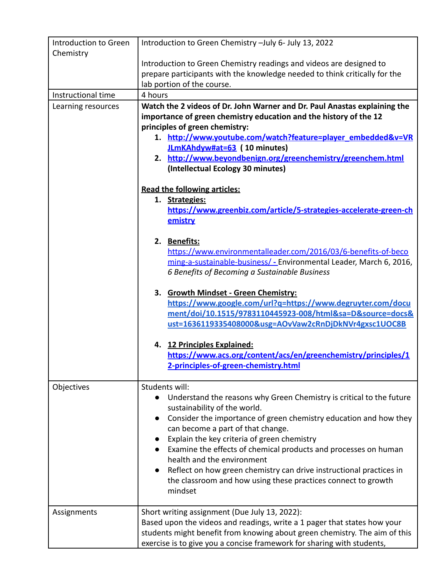| Introduction to Green<br>Chemistry | Introduction to Green Chemistry - July 6- July 13, 2022                    |  |  |
|------------------------------------|----------------------------------------------------------------------------|--|--|
|                                    | Introduction to Green Chemistry readings and videos are designed to        |  |  |
|                                    | prepare participants with the knowledge needed to think critically for the |  |  |
|                                    | lab portion of the course.                                                 |  |  |
| Instructional time                 | 4 hours                                                                    |  |  |
| Learning resources                 | Watch the 2 videos of Dr. John Warner and Dr. Paul Anastas explaining the  |  |  |
|                                    | importance of green chemistry education and the history of the 12          |  |  |
|                                    | principles of green chemistry:                                             |  |  |
|                                    | 1. http://www.youtube.com/watch?feature=player_embedded&v=VR               |  |  |
|                                    | JLmKAhdyw#at=63 (10 minutes)                                               |  |  |
|                                    | 2. http://www.beyondbenign.org/greenchemistry/greenchem.html               |  |  |
|                                    | (Intellectual Ecology 30 minutes)                                          |  |  |
|                                    |                                                                            |  |  |
|                                    | <b>Read the following articles:</b>                                        |  |  |
|                                    | 1. Strategies:                                                             |  |  |
|                                    | https://www.greenbiz.com/article/5-strategies-accelerate-green-ch          |  |  |
|                                    | emistry                                                                    |  |  |
|                                    |                                                                            |  |  |
|                                    | 2. Benefits:                                                               |  |  |
|                                    | https://www.environmentalleader.com/2016/03/6-benefits-of-beco             |  |  |
|                                    | ming-a-sustainable-business/ - Environmental Leader, March 6, 2016,        |  |  |
|                                    | 6 Benefits of Becoming a Sustainable Business                              |  |  |
|                                    |                                                                            |  |  |
|                                    | 3. Growth Mindset - Green Chemistry:                                       |  |  |
|                                    | https://www.google.com/url?q=https://www.degruyter.com/docu                |  |  |
|                                    | ment/doi/10.1515/9783110445923-008/html&sa=D&source=docs&                  |  |  |
|                                    | ust=1636119335408000&usg=AOvVaw2cRnDjDkNVr4gxsc1UOC8B                      |  |  |
|                                    |                                                                            |  |  |
|                                    | 4. 12 Principles Explained:                                                |  |  |
|                                    | https://www.acs.org/content/acs/en/greenchemistry/principles/1             |  |  |
|                                    | 2-principles-of-green-chemistry.html                                       |  |  |
|                                    |                                                                            |  |  |
| Objectives                         | Students will:                                                             |  |  |
|                                    | Understand the reasons why Green Chemistry is critical to the future       |  |  |
|                                    | sustainability of the world.                                               |  |  |
|                                    | Consider the importance of green chemistry education and how they          |  |  |
|                                    | can become a part of that change.                                          |  |  |
|                                    | Explain the key criteria of green chemistry                                |  |  |
|                                    | Examine the effects of chemical products and processes on human            |  |  |
|                                    | health and the environment                                                 |  |  |
|                                    | Reflect on how green chemistry can drive instructional practices in        |  |  |
|                                    | the classroom and how using these practices connect to growth              |  |  |
|                                    | mindset                                                                    |  |  |
|                                    |                                                                            |  |  |
| Assignments                        | Short writing assignment (Due July 13, 2022):                              |  |  |
|                                    | Based upon the videos and readings, write a 1 pager that states how your   |  |  |
|                                    | students might benefit from knowing about green chemistry. The aim of this |  |  |
|                                    | exercise is to give you a concise framework for sharing with students,     |  |  |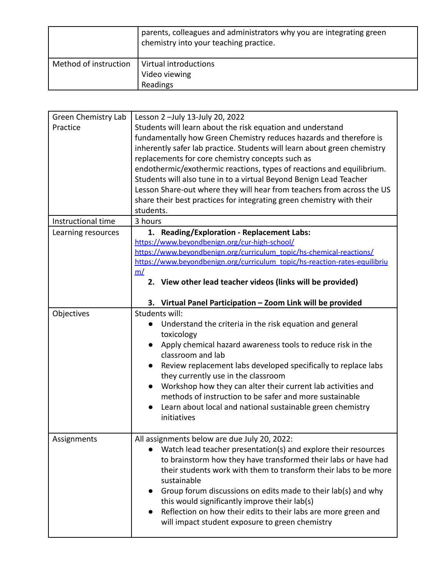|                       | parents, colleagues and administrators why you are integrating green<br>chemistry into your teaching practice. |
|-----------------------|----------------------------------------------------------------------------------------------------------------|
| Method of instruction | Virtual introductions                                                                                          |
|                       | Video viewing                                                                                                  |
|                       | Readings                                                                                                       |

| Green Chemistry Lab | Lesson 2 - July 13-July 20, 2022                                           |  |
|---------------------|----------------------------------------------------------------------------|--|
| Practice            | Students will learn about the risk equation and understand                 |  |
|                     | fundamentally how Green Chemistry reduces hazards and therefore is         |  |
|                     | inherently safer lab practice. Students will learn about green chemistry   |  |
|                     | replacements for core chemistry concepts such as                           |  |
|                     | endothermic/exothermic reactions, types of reactions and equilibrium.      |  |
|                     | Students will also tune in to a virtual Beyond Benign Lead Teacher         |  |
|                     | Lesson Share-out where they will hear from teachers from across the US     |  |
|                     | share their best practices for integrating green chemistry with their      |  |
|                     | students.                                                                  |  |
| Instructional time  | 3 hours                                                                    |  |
| Learning resources  | 1. Reading/Exploration - Replacement Labs:                                 |  |
|                     | https://www.beyondbenign.org/cur-high-school/                              |  |
|                     | https://www.beyondbenign.org/curriculum_topic/hs-chemical-reactions/       |  |
|                     | https://www.beyondbenign.org/curriculum_topic/hs-reaction-rates-equilibriu |  |
|                     | m/                                                                         |  |
|                     | 2. View other lead teacher videos (links will be provided)                 |  |
|                     |                                                                            |  |
|                     | 3. Virtual Panel Participation - Zoom Link will be provided                |  |
| Objectives          | Students will:                                                             |  |
|                     | Understand the criteria in the risk equation and general                   |  |
|                     | toxicology                                                                 |  |
|                     | Apply chemical hazard awareness tools to reduce risk in the                |  |
|                     | classroom and lab                                                          |  |
|                     | Review replacement labs developed specifically to replace labs             |  |
|                     | they currently use in the classroom                                        |  |
|                     | Workshop how they can alter their current lab activities and               |  |
|                     | methods of instruction to be safer and more sustainable                    |  |
|                     | Learn about local and national sustainable green chemistry                 |  |
|                     | initiatives                                                                |  |
|                     |                                                                            |  |
| Assignments         | All assignments below are due July 20, 2022:                               |  |
|                     | Watch lead teacher presentation(s) and explore their resources             |  |
|                     | to brainstorm how they have transformed their labs or have had             |  |
|                     | their students work with them to transform their labs to be more           |  |
|                     | sustainable                                                                |  |
|                     | Group forum discussions on edits made to their lab(s) and why<br>$\bullet$ |  |
|                     | this would significantly improve their lab(s)                              |  |
|                     | Reflection on how their edits to their labs are more green and             |  |
|                     | will impact student exposure to green chemistry                            |  |
|                     |                                                                            |  |